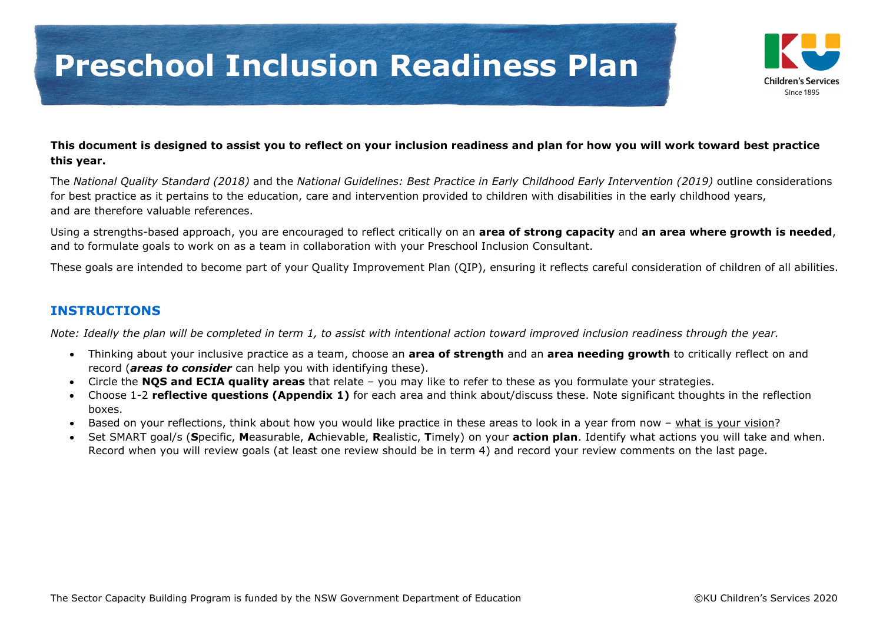

#### **This document is designed to assist you to reflect on your inclusion readiness and plan for how you will work toward best practice this year.**

The *National Quality Standard (2018)* and the *National Guidelines: Best Practice in Early Childhood Early Intervention (2019)* outline considerations for best practice as it pertains to the education, care and intervention provided to children with disabilities in the early childhood years, and are therefore valuable references.

Using a strengths-based approach, you are encouraged to reflect critically on an **area of strong capacity** and **an area where growth is needed**, and to formulate goals to work on as a team in collaboration with your Preschool Inclusion Consultant.

These goals are intended to become part of your Quality Improvement Plan (QIP), ensuring it reflects careful consideration of children of all abilities.

#### **INSTRUCTIONS**

*Note: Ideally the plan will be completed in term 1, to assist with intentional action toward improved inclusion readiness through the year.*

- Thinking about your inclusive practice as a team, choose an **area of strength** and an **area needing growth** to critically reflect on and record (*areas to consider* can help you with identifying these).
- Circle the **NQS and ECIA quality areas** that relate you may like to refer to these as you formulate your strategies.
- Choose 1-2 **reflective questions (Appendix 1)** for each area and think about/discuss these. Note significant thoughts in the reflection boxes.
- Based on your reflections, think about how you would like practice in these areas to look in a year from now what is your vision?
- Set SMART goal/s (**S**pecific, **M**easurable, **A**chievable, **R**ealistic, **T**imely) on your **action plan**. Identify what actions you will take and when. Record when you will review goals (at least one review should be in term 4) and record your review comments on the last page.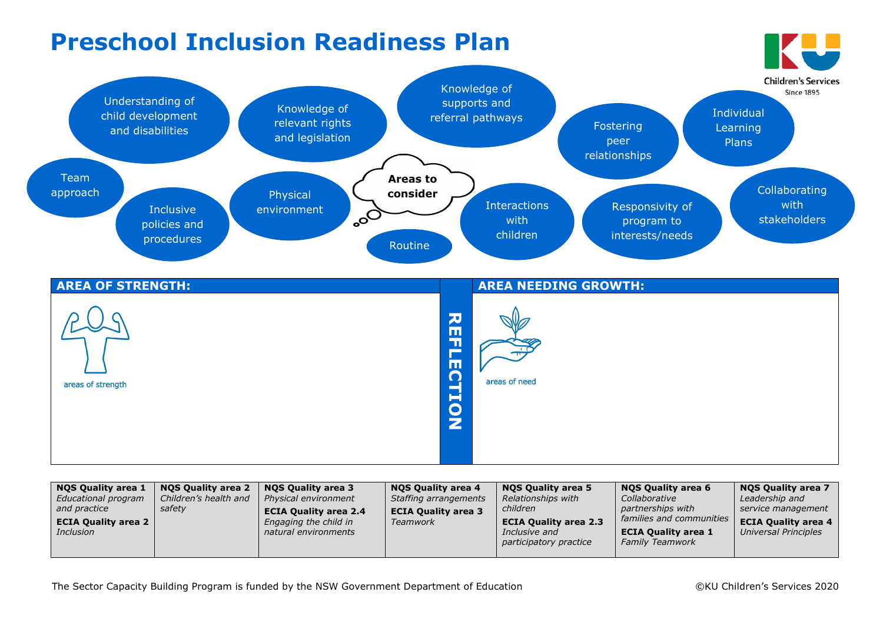

| NOS Quality area 1<br>Educational program<br>and practice<br><b>ECIA Quality area 2</b><br><i>Inclusion</i> | NOS Quality area 2<br>Children's health and<br>safety | NOS Quality area 3<br>Physical environment<br><b>ECIA Quality area 2.4</b><br>Engaging the child in<br>natural environments | <b>NOS Quality area 4</b><br>Staffing arrangements<br><b>ECIA Quality area 3</b><br>Teamwork | <b>NOS Quality area 5</b><br>Relationships with<br>children<br><b>ECIA Quality area 2.3</b><br>Inclusive and<br>participatory practice | <b>NOS Quality area 6</b><br>Collaborative<br>partnerships with<br>families and communities<br><b>ECIA Quality area 1</b><br><b>Family Teamwork</b> | <b>NOS Quality area 7</b><br>Leadership and<br>service management<br><b>ECIA Quality area 4</b><br>Universal Principles |
|-------------------------------------------------------------------------------------------------------------|-------------------------------------------------------|-----------------------------------------------------------------------------------------------------------------------------|----------------------------------------------------------------------------------------------|----------------------------------------------------------------------------------------------------------------------------------------|-----------------------------------------------------------------------------------------------------------------------------------------------------|-------------------------------------------------------------------------------------------------------------------------|
|-------------------------------------------------------------------------------------------------------------|-------------------------------------------------------|-----------------------------------------------------------------------------------------------------------------------------|----------------------------------------------------------------------------------------------|----------------------------------------------------------------------------------------------------------------------------------------|-----------------------------------------------------------------------------------------------------------------------------------------------------|-------------------------------------------------------------------------------------------------------------------------|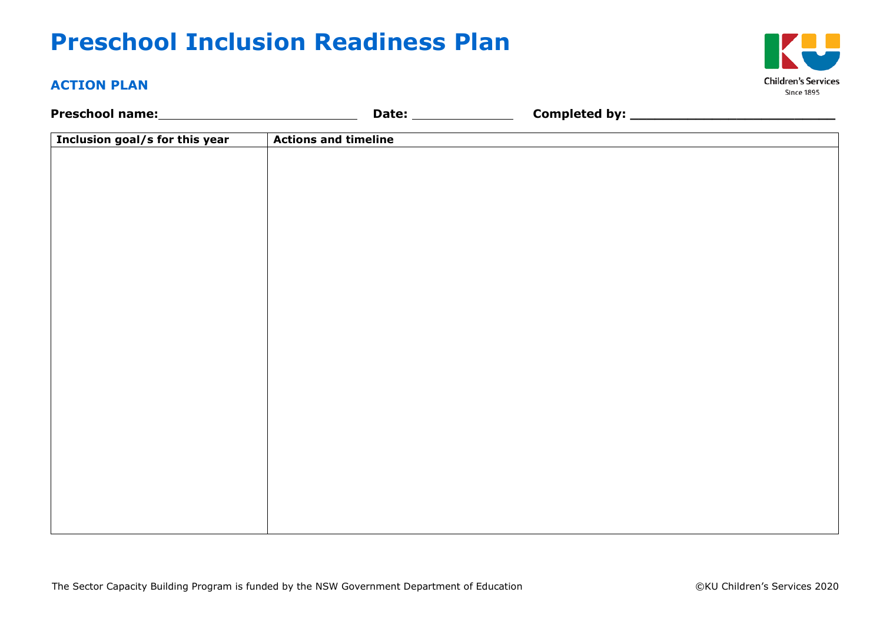# **Preschool Inclusion Readiness Plan**

### **ACTION PLAN**

| Inclusion goal/s for this year | <b>Actions and timeline</b> |  |
|--------------------------------|-----------------------------|--|
|                                |                             |  |
|                                |                             |  |
|                                |                             |  |
|                                |                             |  |
|                                |                             |  |
|                                |                             |  |
|                                |                             |  |
|                                |                             |  |
|                                |                             |  |
|                                |                             |  |
|                                |                             |  |
|                                |                             |  |
|                                |                             |  |
|                                |                             |  |
|                                |                             |  |
|                                |                             |  |
|                                |                             |  |
|                                |                             |  |

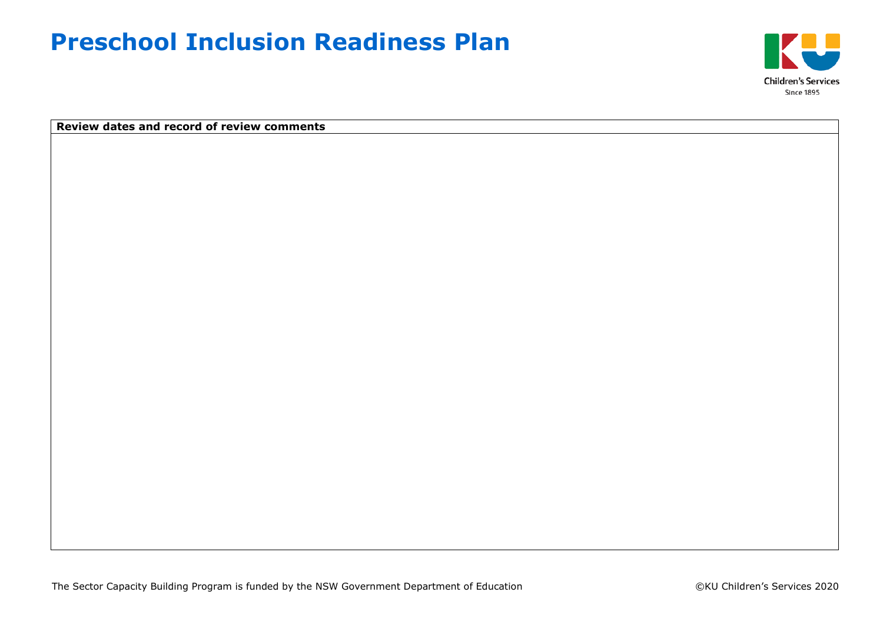## **Preschool Inclusion Readiness Plan**



**Review dates and record of review comments**